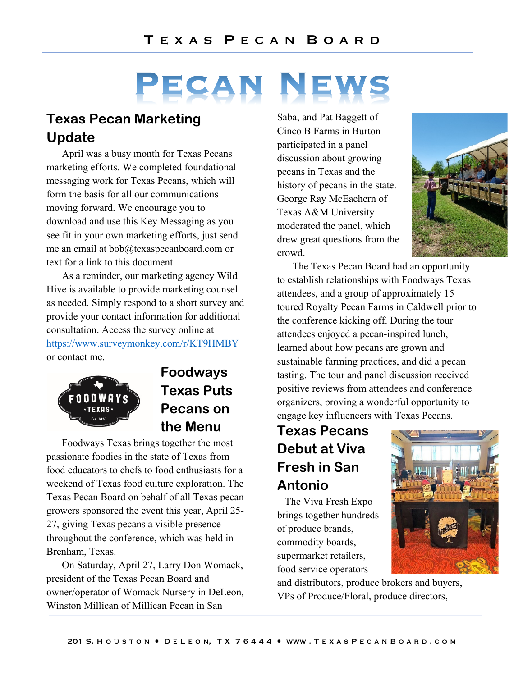# PECAN

## **Texas Pecan Marketing Update**

April was a busy month for Texas Pecans marketing efforts. We completed foundational messaging work for Texas Pecans, which will form the basis for all our communications moving forward. We encourage you to download and use this Key Messaging as you see fit in your own marketing efforts, just send me an email at bob@texaspecanboard.com or text for a link to this document.

As a reminder, our marketing agency Wild Hive is available to provide marketing counsel as needed. Simply respond to a short survey and provide your contact information for additional consultation. Access the survey online at https://www.surveymonkey.com/r/KT9HMBY or contact me.



# **Foodways Texas Puts Pecans on the Menu**

Foodways Texas brings together the most passionate foodies in the state of Texas from food educators to chefs to food enthusiasts for a weekend of Texas food culture exploration. The Texas Pecan Board on behalf of all Texas pecan growers sponsored the event this year, April 25- 27, giving Texas pecans a visible presence throughout the conference, which was held in Brenham, Texas.

On Saturday, April 27, Larry Don Womack, president of the Texas Pecan Board and owner/operator of Womack Nursery in DeLeon, Winston Millican of Millican Pecan in San

Saba, and Pat Baggett of Cinco B Farms in Burton participated in a panel discussion about growing pecans in Texas and the history of pecans in the state. George Ray McEachern of Texas A&M University moderated the panel, which drew great questions from the crowd.



The Texas Pecan Board had an opportunity to establish relationships with Foodways Texas attendees, and a group of approximately 15 toured Royalty Pecan Farms in Caldwell prior to the conference kicking off. During the tour attendees enjoyed a pecan-inspired lunch, learned about how pecans are grown and sustainable farming practices, and did a pecan tasting. The tour and panel discussion received positive reviews from attendees and conference organizers, proving a wonderful opportunity to engage key influencers with Texas Pecans.

# **Texas Pecans Debut at Viva Fresh in San Antonio**

The Viva Fresh Expo brings together hundreds of produce brands, commodity boards, supermarket retailers, food service operators



and distributors, produce brokers and buyers, VPs of Produce/Floral, produce directors,